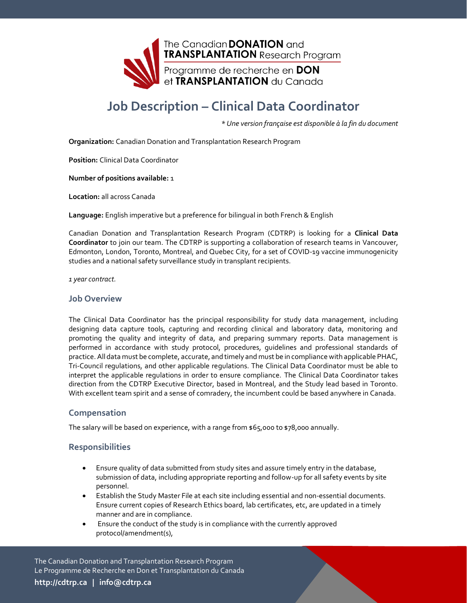

# **Job Description – Clinical Data Coordinator**

*\* Une version française est disponible à la fin du document*

**Organization:** Canadian Donation and Transplantation Research Program

**Position:** Clinical Data Coordinator

**Number of positions available:** 1

**Location:** all across Canada

**Language:** English imperative but a preference for bilingual in both French & English

Canadian Donation and Transplantation Research Program (CDTRP) is looking for a **Clinical Data Coordinator** to join our team. The CDTRP is supporting a collaboration of research teams in Vancouver, Edmonton, London, Toronto, Montreal, and Quebec City, for a set of COVID-19 vaccine immunogenicity studies and a national safety surveillance study in transplant recipients.

*1 year contract.*

#### **Job Overview**

The Clinical Data Coordinator has the principal responsibility for study data management, including designing data capture tools, capturing and recording clinical and laboratory data, monitoring and promoting the quality and integrity of data, and preparing summary reports. Data management is performed in accordance with study protocol, procedures, guidelines and professional standards of practice. All data must be complete, accurate, and timely and must be in compliance with applicable PHAC, Tri-Council regulations, and other applicable regulations. The Clinical Data Coordinator must be able to interpret the applicable regulations in order to ensure compliance. The Clinical Data Coordinator takes direction from the CDTRP Executive Director, based in Montreal, and the Study lead based in Toronto. With excellent team spirit and a sense of comradery, the incumbent could be based anywhere in Canada.

#### **Compensation**

The salary will be based on experience, with a range from  $$65,000$  to  $$78,000$  annually.

#### **Responsibilities**

- Ensure quality of data submitted from study sites and assure timely entry in the database, submission of data, including appropriate reporting and follow-up for all safety events by site personnel.
- Establish the Study Master File at each site including essential and non-essential documents. Ensure current copies of Research Ethics board, lab certificates, etc, are updated in a timely manner and are in compliance.
- Ensure the conduct of the study is in compliance with the currently approved protocol/amendment(s),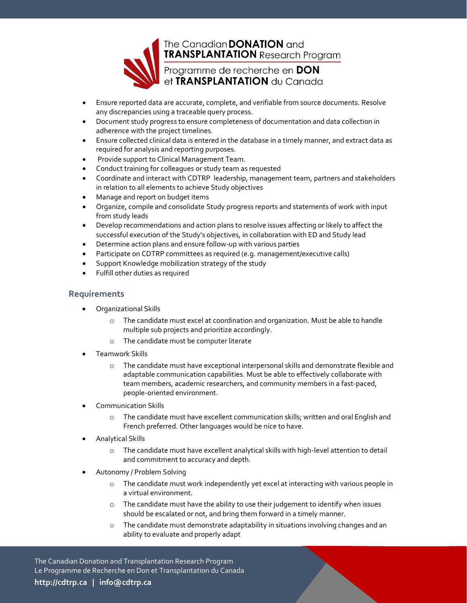

- Ensure reported data are accurate, complete, and verifiable from source documents. Resolve any discrepancies using a traceable query process.
- Document study progress to ensure completeness of documentation and data collection in adherence with the project timelines.
- Ensure collected clinical data is entered in the database in a timely manner, and extract data as required for analysis and reporting purposes.
- Provide support to Clinical Management Team.
- Conduct training for colleagues or study team as requested
- Coordinate and interact with CDTRP leadership, management team, partners and stakeholders in relation to all elements to achieve Study objectives
- Manage and report on budget items
- Organize, compile and consolidate Study progress reports and statements of work with input from study leads
- Develop recommendations and action plans to resolve issues affecting or likely to affect the successful execution of the Study's objectives, in collaboration with ED and Study lead
- Determine action plans and ensure follow-up with various parties
- Participate on CDTRP committees as required (e.g. management/executive calls)
- Support Knowledge mobilization strategy of the study
- Fulfill other duties as required

#### **Requirements**

- Organizational Skills
	- o The candidate must excel at coordination and organization. Must be able to handle multiple sub projects and prioritize accordingly.
	- o The candidate must be computer literate
- Teamwork Skills
	- o The candidate must have exceptional interpersonal skills and demonstrate flexible and adaptable communication capabilities. Must be able to effectively collaborate with team members, academic researchers, and community members in a fast-paced, people-oriented environment.
- Communication Skills
	- o The candidate must have excellent communication skills; written and oral English and French preferred. Other languages would be nice to have.
- Analytical Skills
	- o The candidate must have excellent analytical skills with high-level attention to detail and commitment to accuracy and depth.
- Autonomy / Problem Solving
	- o The candidate must work independently yet excel at interacting with various people in a virtual environment.
	- $\circ$  The candidate must have the ability to use their judgement to identify when issues should be escalated or not, and bring them forward in a timely manner.
	- $\circ$  The candidate must demonstrate adaptability in situations involving changes and an ability to evaluate and properly adapt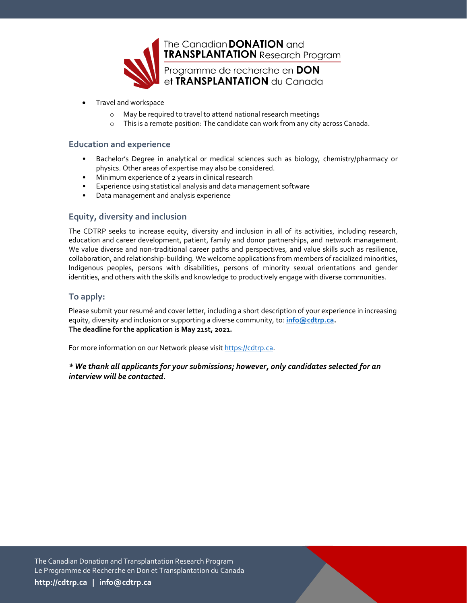

- Travel and workspace
	- o May be required to travel to attend national research meetings
	- o This is a remote position: The candidate can work from any city across Canada.

## **Education and experience**

- Bachelor's Degree in analytical or medical sciences such as biology, chemistry/pharmacy or physics. Other areas of expertise may also be considered.
- Minimum experience of 2 years in clinical research
- Experience using statistical analysis and data management software
- Data management and analysis experience

## **Equity, diversity and inclusion**

The CDTRP seeks to increase equity, diversity and inclusion in all of its activities, including research, education and career development, patient, family and donor partnerships, and network management. We value diverse and non-traditional career paths and perspectives, and value skills such as resilience, collaboration, and relationship-building. We welcome applications from members of racialized minorities, Indigenous peoples, persons with disabilities, persons of minority sexual orientations and gender identities, and others with the skills and knowledge to productively engage with diverse communities.

## **To apply:**

Please submit your resumé and cover letter, including a short description of your experience in increasing equity, diversity and inclusion or supporting a diverse community, to: **[info@cdtrp.ca.](mailto:info@cdtrp.ca) The deadline for the application is May 21st, 2021.**

For more information on our Network please visi[t https://cdtrp.ca.](https://cdtrp.ca/)

*\* We thank all applicants for your submissions; however, only candidates selected for an interview will be contacted.*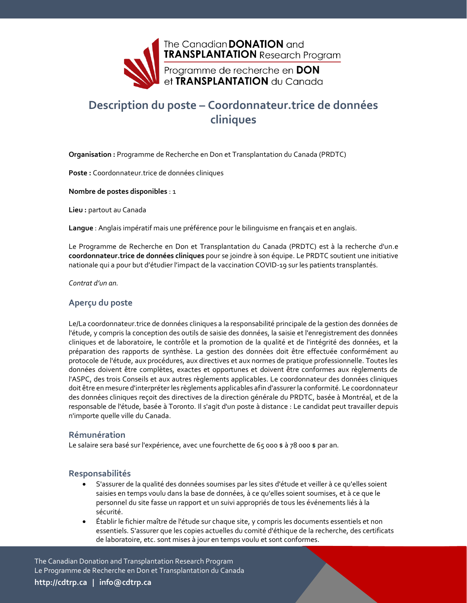

## **Description du poste – Coordonnateur.trice de données cliniques**

**Organisation :** Programme de Recherche en Don et Transplantation du Canada (PRDTC)

**Poste :** Coordonnateur.trice de données cliniques

**Nombre de postes disponibles** : 1

**Lieu :** partout au Canada

**Langue** : Anglais impératif mais une préférence pour le bilinguisme en français et en anglais.

Le Programme de Recherche en Don et Transplantation du Canada (PRDTC) est à la recherche d'un.e **coordonnateur.trice de données cliniques** pour se joindre à son équipe. Le PRDTC soutient une initiative nationale qui a pour but d'étudier l'impact de la vaccination COVID-19 sur les patients transplantés.

*Contrat d'un an.*

#### **Aperçu du poste**

Le/La coordonnateur.trice de données cliniques a la responsabilité principale de la gestion des données de l'étude, y compris la conception des outils de saisie des données, la saisie et l'enregistrement des données cliniques et de laboratoire, le contrôle et la promotion de la qualité et de l'intégrité des données, et la préparation des rapports de synthèse. La gestion des données doit être effectuée conformément au protocole de l'étude, aux procédures, aux directives et aux normes de pratique professionnelle. Toutes les données doivent être complètes, exactes et opportunes et doivent être conformes aux règlements de l'ASPC, des trois Conseils et aux autres règlements applicables. Le coordonnateur des données cliniques doit être en mesure d'interpréter les règlements applicables afin d'assurer la conformité. Le coordonnateur des données cliniques reçoit des directives de la direction générale du PRDTC, basée à Montréal, et de la responsable de l'étude, basée à Toronto. Il s'agit d'un poste à distance : Le candidat peut travailler depuis n'importe quelle ville du Canada.

#### **Rémunération**

Le salaire sera basé sur l'expérience, avec une fourchette de 65 000 \$ à 78 000 \$ par an.

#### **Responsabilités**

- S'assurer de la qualité des données soumises par les sites d'étude et veiller à ce qu'elles soient saisies en temps voulu dans la base de données, à ce qu'elles soient soumises, et à ce que le personnel du site fasse un rapport et un suivi appropriés de tous les événements liés à la sécurité.
- Établir le fichier maître de l'étude sur chaque site, y compris les documents essentiels et non essentiels. S'assurer que les copies actuelles du comité d'éthique de la recherche, des certificats de laboratoire, etc. sont mises à jour en temps voulu et sont conformes.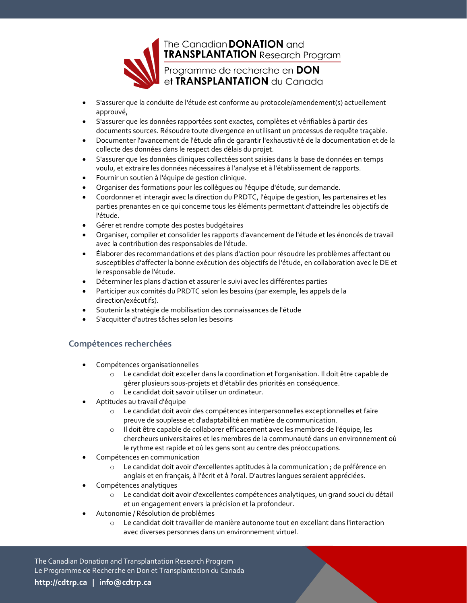

- S'assurer que la conduite de l'étude est conforme au protocole/amendement(s) actuellement approuvé,
- S'assurer que les données rapportées sont exactes, complètes et vérifiables à partir des documents sources. Résoudre toute divergence en utilisant un processus de requête traçable.
- Documenter l'avancement de l'étude afin de garantir l'exhaustivité de la documentation et de la collecte des données dans le respect des délais du projet.
- S'assurer que les données cliniques collectées sont saisies dans la base de données en temps voulu, et extraire les données nécessaires à l'analyse et à l'établissement de rapports.
- Fournir un soutien à l'équipe de gestion clinique.
- Organiser des formations pour les collègues ou l'équipe d'étude, sur demande.
- Coordonner et interagir avec la direction du PRDTC, l'équipe de gestion, les partenaires et les parties prenantes en ce qui concerne tous les éléments permettant d'atteindre les objectifs de l'étude.
- Gérer et rendre compte des postes budgétaires
- Organiser, compiler et consolider les rapports d'avancement de l'étude et les énoncés de travail avec la contribution des responsables de l'étude.
- Élaborer des recommandations et des plans d'action pour résoudre les problèmes affectant ou susceptibles d'affecter la bonne exécution des objectifs de l'étude, en collaboration avec le DE et le responsable de l'étude.
- Déterminer les plans d'action et assurer le suivi avec les différentes parties
- Participer aux comités du PRDTC selon les besoins (par exemple, les appels de la direction/exécutifs).
- Soutenir la stratégie de mobilisation des connaissances de l'étude
- S'acquitter d'autres tâches selon les besoins

## **Compétences recherchées**

- Compétences organisationnelles
	- o Le candidat doit exceller dans la coordination et l'organisation. Il doit être capable de gérer plusieurs sous-projets et d'établir des priorités en conséquence.
	- o Le candidat doit savoir utiliser un ordinateur.
- Aptitudes au travail d'équipe
	- o Le candidat doit avoir des compétences interpersonnelles exceptionnelles et faire preuve de souplesse et d'adaptabilité en matière de communication.
	- o Il doit être capable de collaborer efficacement avec les membres de l'équipe, les chercheurs universitaires et les membres de la communauté dans un environnement où le rythme est rapide et où les gens sont au centre des préoccupations.
- Compétences en communication
	- o Le candidat doit avoir d'excellentes aptitudes à la communication ; de préférence en anglais et en français, à l'écrit et à l'oral. D'autres langues seraient appréciées.
- Compétences analytiques
	- o Le candidat doit avoir d'excellentes compétences analytiques, un grand souci du détail et un engagement envers la précision et la profondeur.
- Autonomie / Résolution de problèmes
	- o Le candidat doit travailler de manière autonome tout en excellant dans l'interaction avec diverses personnes dans un environnement virtuel.